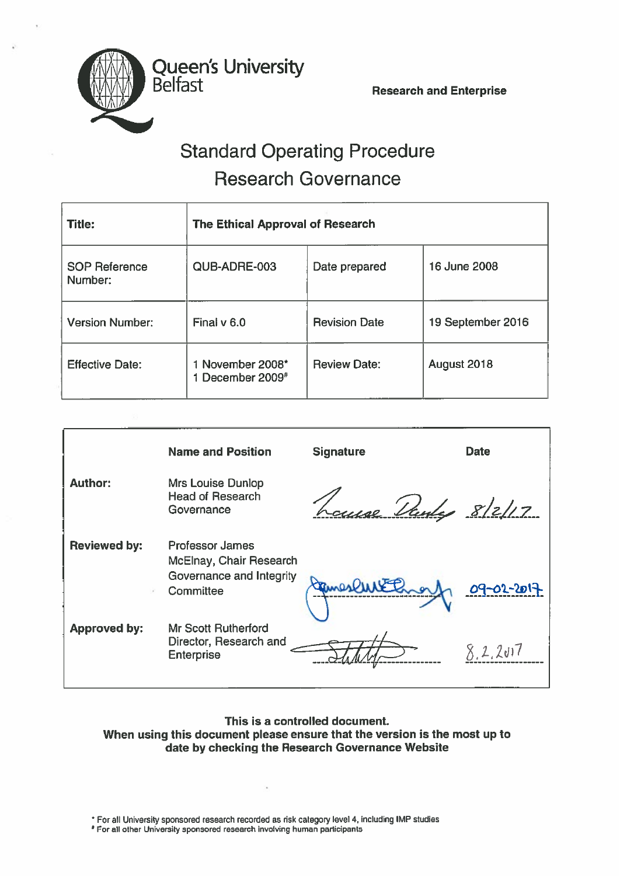

# Standard Operating Procedure Research Governance

| <b>Title:</b>                   | The Ethical Approval of Research                 |                      |                   |
|---------------------------------|--------------------------------------------------|----------------------|-------------------|
| <b>SOP Reference</b><br>Number: | QUB-ADRE-003                                     | Date prepared        | 16 June 2008      |
| <b>Version Number:</b>          | Final v 6.0                                      | <b>Revision Date</b> | 19 September 2016 |
| <b>Effective Date:</b>          | 1 November 2008*<br>1 December 2009 <sup>#</sup> | <b>Review Date:</b>  | August 2018       |

|                     | <b>Name and Position</b>                                                                   | <b>Signature</b>   | <b>Date</b> |
|---------------------|--------------------------------------------------------------------------------------------|--------------------|-------------|
| <b>Author:</b>      | <b>Mrs Louise Dunlop</b><br><b>Head of Research</b><br>Governance                          | Lause Vanly 8/2/17 |             |
| <b>Reviewed by:</b> | <b>Professor James</b><br>McElnay, Chair Research<br>Governance and Integrity<br>Committee |                    | 09-02-2017  |
| <b>Approved by:</b> | <b>Mr Scott Rutherford</b><br>Director, Research and<br><b>Enterprise</b>                  |                    | 8, 2, 201   |

### This is <sup>a</sup> controlled document. When using this document please ensure that the version is the most up to date by checking the Research Governance Website

\* For all University sponsored research recorded as risk category level 4, including IMP studies

For all other University sponsored research involving human participants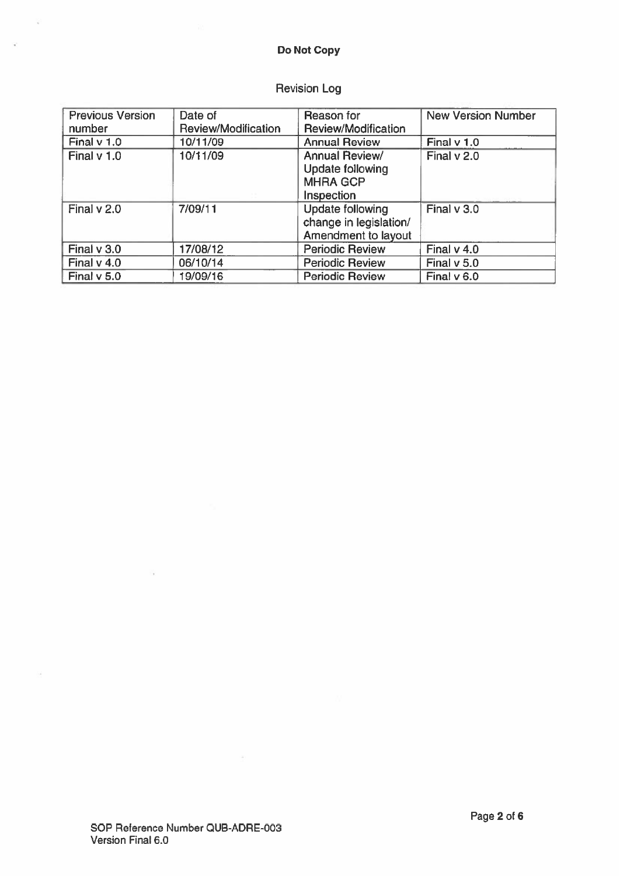#### Do Not Copy

 $\mathcal{L}^{\mathcal{L}}$ 

 $\overline{a}$ 

 $\mathcal{L}$ 

## Revision Log

| <b>Previous Version</b> | Date of             | Reason for                                                                        | <b>New Version Number</b> |
|-------------------------|---------------------|-----------------------------------------------------------------------------------|---------------------------|
| number                  | Review/Modification | Review/Modification                                                               |                           |
| Final $v$ 1.0           | 10/11/09            | <b>Annual Review</b>                                                              | Final $v$ 1.0             |
| Final $v$ 1.0           | 10/11/09            | <b>Annual Review/</b><br><b>Update following</b><br><b>MHRA GCP</b><br>Inspection | Final $v$ 2.0             |
| Final $v$ 2.0           | 7/09/11             | <b>Update following</b><br>change in legislation/<br>Amendment to layout          | Final $v$ 3.0             |
| Final $v$ 3.0           | 17/08/12            | <b>Periodic Review</b>                                                            | Final $v$ 4.0             |
| Final $v$ 4.0           | 06/10/14            | <b>Periodic Review</b>                                                            | Final v 5.0               |
| Final $v$ 5.0           | 19/09/16            | <b>Periodic Review</b>                                                            | Final $v$ 6.0             |

S.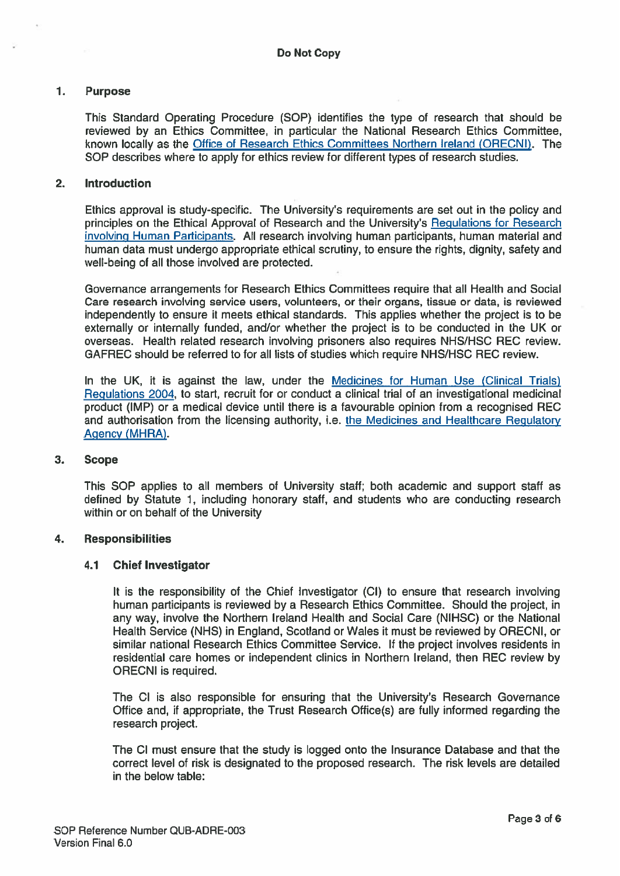#### 1. Purpose

This Standard Operating Procedure (SOP) identifies the type of research that should be reviewed by an Ethics Committee, in particular the National Research Ethics Committee, known locally as the Office of Research Ethics Committees Northern Ireland (ORECNI). The SOP describes where to apply for ethics review for different types of research studies.

#### 2. Introduction

Ethics approval is study-specific. The University's requirements are set out in the policy and principles on the Ethical Approval of Research and the University's Regulations for Research involving Human Participants. All research involving human participants, human material and human data must undergo appropriate ethical scrutiny, to ensure the rights, dignity, safety and well-being of all those involved are protected.

Governance arrangements for Research Ethics Committees require that all Health and Social Care research involving service users, volunteers, or their organs, tissue or data, is reviewed independently to ensure it meets ethical standards. This applies whether the project is to be externally or internally funded, and/or whether the project is to be conducted in the UK or overseas. Health related research involving prisoners also requires NHS/HSC REC review. GAFREC should be referred to for all lists of studies which require NHS/HSC REC review.

In the UK, it is against the law, under the Medicines for Human Use (Clinical Trials) Regulations 2004, to start, recruit for or conduct <sup>a</sup> clinical trial of an investigational medicinal product (IMP) or <sup>a</sup> medical device until there is <sup>a</sup> favourable opinion from <sup>a</sup> recognised REC and authorisation from the licensing authority, i.e. the Medicines and Healthcare Regulatory Agency (MHRA).

#### 3. Scope

This SOP applies to all members of University staff; both academic and suppor<sup>t</sup> staff as defined by Statute 1, including honorary staff, and students who are conducting research within or on behalf of the University

#### 4. Responsibilities

#### 4.1 Chief Investigator

It is the responsibility of the Chief Investigator (Cl) to ensure that research involving human participants is reviewed by <sup>a</sup> Research Ethics Committee. Should the project, in any way, involve the Northern Ireland Health and Social Care (NIHSC) or the National Health Service (NHS) in England, Scotland or Wales it must be reviewed by ORECNI, or similar national Research Ethics Committee Service. If the project involves residents in residential care homes or independent clinics in Northern Ireland, then REC review by ORECNI is required.

The Cl is also responsible for ensuring that the University's Research Governance Office and, if appropriate, the Trust Research Office(s) are fully informed regarding the research project.

The Cl must ensure that the study is logged onto the Insurance Database and that the correct level of risk is designated to the proposed research. The risk levels are detailed in the below table: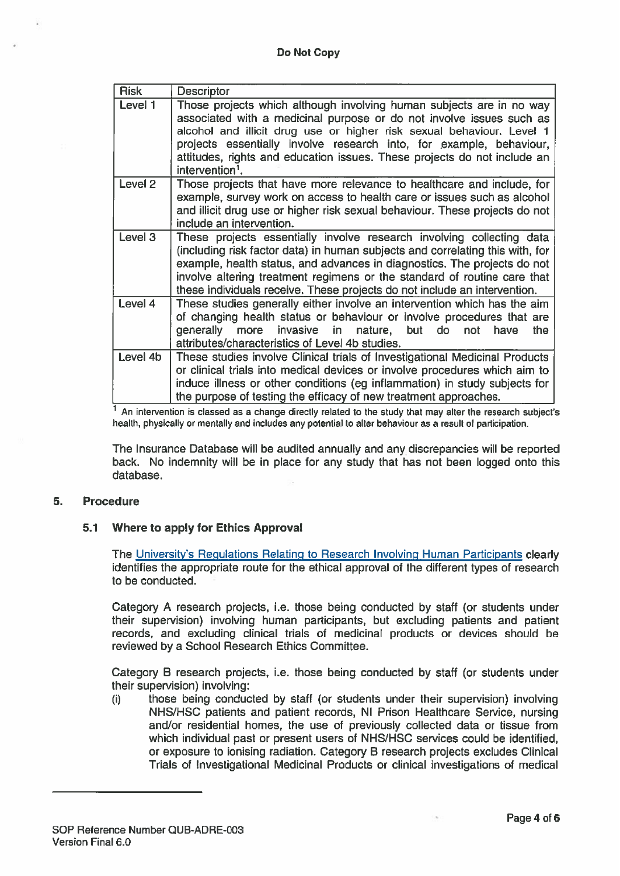| <b>Risk</b>        | <b>Descriptor</b>                                                                                                                                                                                                                                                                                                                                                                                       |
|--------------------|---------------------------------------------------------------------------------------------------------------------------------------------------------------------------------------------------------------------------------------------------------------------------------------------------------------------------------------------------------------------------------------------------------|
| Level 1            | Those projects which although involving human subjects are in no way<br>associated with a medicinal purpose or do not involve issues such as<br>alcohol and illicit drug use or higher risk sexual behaviour. Level 1<br>projects essentially involve research into, for example, behaviour,<br>attitudes, rights and education issues. These projects do not include an<br>intervention <sup>1</sup> . |
| Level <sub>2</sub> | Those projects that have more relevance to healthcare and include, for<br>example, survey work on access to health care or issues such as alcohol<br>and illicit drug use or higher risk sexual behaviour. These projects do not<br>include an intervention.                                                                                                                                            |
| Level 3            | These projects essentially involve research involving collecting data<br>(including risk factor data) in human subjects and correlating this with, for<br>example, health status, and advances in diagnostics. The projects do not<br>involve altering treatment regimens or the standard of routine care that<br>these individuals receive. These projects do not include an intervention.             |
| Level 4            | These studies generally either involve an intervention which has the aim<br>of changing health status or behaviour or involve procedures that are<br>invasive in nature, but do<br>generally more<br>the<br>have<br>not<br>attributes/characteristics of Level 4b studies.                                                                                                                              |
| Level 4b           | These studies involve Clinical trials of Investigational Medicinal Products<br>or clinical trials into medical devices or involve procedures which aim to<br>induce illness or other conditions (eg inflammation) in study subjects for<br>the purpose of testing the efficacy of new treatment approaches.                                                                                             |

 $<sup>1</sup>$  An intervention is classed as a change directly related to the study that may alter the research subject's</sup> health, physically or mentally and includes any potential to alter behaviour as <sup>a</sup> result of participation.

The Insurance Database will be audited annually and any discrepancies will be reported back. No indemnity will be in place for any study that has not been logged onto this database.

#### 5. Procedure

#### 5.1 Where to apply for Ethics Approval

The University's Regulations Relating to Research Involving Human Participants clearly identifies the appropriate route for the ethical approval of the different types of research to be conducted.

Category A research projects, i.e. those being conducted by staff (or students under their supervision) involving human participants, but excluding patients and patient records, and excluding clinical trials of medicinal products or devices should be reviewed by <sup>a</sup> School Research Ethics Committee.

Category B research projects, i.e. those being conducted by staff (or students under their supervision) involving:

(i) those being conducted by staff (or students under their supervision) involving NHS/HSC patients and patient records, NI Prison Healthcare Service, nursing and/or residential homes, the use of previously collected data or tissue from which individual pas<sup>t</sup> or presen<sup>t</sup> users of NHS/HSC services could be identified, or exposure to ionising radiation. Category B research projects excludes Clinical Trials of Investigational Medicinal Products or clinical investigations of medical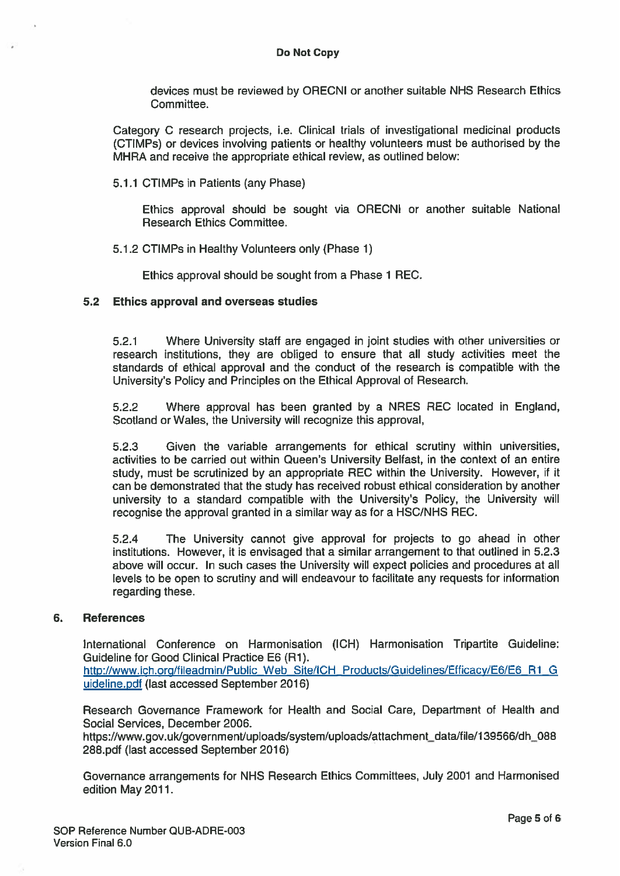devices must be reviewed by ORECNI or another suitable NHS Research Ethics Committee.

Category C research projects, i.e. Clinical trials of investigational medicinal products (CTIMPs) or devices involving patients or healthy volunteers must be authorised by the MHRA and receive the appropriate ethical review, as outlined below:

5.1.1 CTIMPs in Patients (any Phase)

Ethics approval should be sought via ORECNI or another suitable National Research Ethics Committee.

5.1.2 CTIMPs in Healthy Volunteers only (Phase 1)

Ethics approval should be sought from <sup>a</sup> Phase 1 REC.

#### 5.2 Ethics approval and overseas studies

5.2.1 Where University stall are engaged in joint studies with other universities or research institutions, they are obliged to ensure that all study activities meet the standards of ethical approval and the conduct of the research is compatible with the University's Policy and Principles on the Ethical Approval of Research.

5.2.2 Where approval has been granted by <sup>a</sup> NRES REC located in England, Scotland or Wales, the University will recognize this approval,

5.2.3 Given the variable arrangements for ethical scrutiny within universities, activities to be carried out within Queen's University Belfast, in the context of an entire study, must be scrutinized by an appropriate REC within the University. However, if it can be demonstrated that the study has received robust ethical consideration by another university to <sup>a</sup> standard compatible with the University's Policy, the University will recognise the approval granted in a similar way as for a HSC/NHS REC.

5.2.4 The University cannot give approval for projects to go ahead in other institutions. However, it is envisaged that <sup>a</sup> similar arrangemen<sup>t</sup> to that outlined in 5.2.3 above will occur. In such cases the University will expec<sup>t</sup> policies and procedures at all levels to be open to scrutiny and will endeavour to facilitate any requests for information regarding these.

#### 6. References

International Conference on Harmonisation (ICH) Harmonisation Tripartite Guideline: Guideline for Good Clinical Practice EG (Ri). http://www.ich.org/fileadmin/Public Web Site/ICH\_Products/Guidelines/Efficacy/E6/E6\_R1\_G uideline.pdf (last accessed September 2016)

Research Governance Framework for Health and Social Care, Department of Health and Social Services, December 2006.

https://www.gov.uk/government/uploads/system/uploads/attachment\_data/file/139566/dh\_088 288.pdf (last accessed September 2016)

Governance arrangements for NHS Research Ethics Committees, July 2001 and Harmonised edition May 2011.